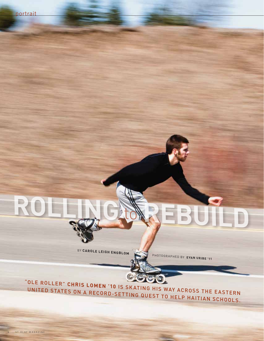BY CAROLE LEIGH ENGBLOM

PHOTOGRAPHED BY EVAN URIBE '11

"OLE ROLLER" CHRIS LOMEN '10 IS SKATING HIS WAY ACROSS THE EASTERN UNITED STATES ON A RECORD-SETTING QUEST TO HELP HAITIAN SCHOOLS.

 $\mathbf{R}$